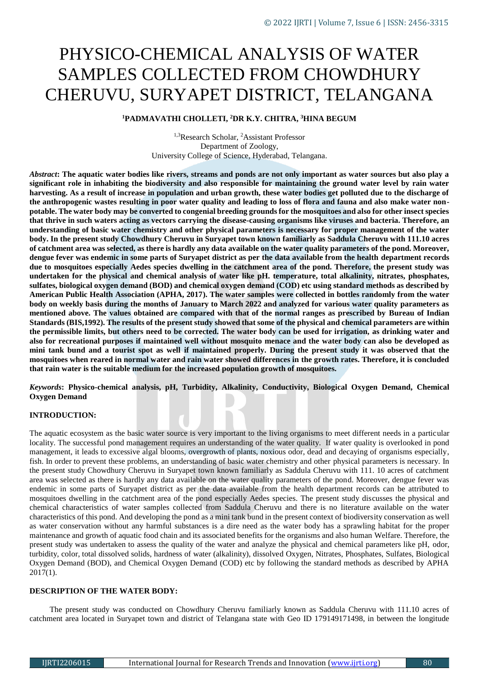# PHYSICO-CHEMICAL ANALYSIS OF WATER SAMPLES COLLECTED FROM CHOWDHURY CHERUVU, SURYAPET DISTRICT, TELANGANA

## **<sup>1</sup>PADMAVATHI CHOLLETI, <sup>2</sup>DR K.Y. CHITRA, <sup>3</sup>HINA BEGUM**

1,3Research Scholar, <sup>2</sup>Assistant Professor Department of Zoology, University College of Science, Hyderabad, Telangana.

*Abstract***: The aquatic water bodies like rivers, streams and ponds are not only important as water sources but also play a significant role in inhabiting the biodiversity and also responsible for maintaining the ground water level by rain water harvesting. As a result of increase in population and urban growth, these water bodies get polluted due to the discharge of the anthropogenic wastes resulting in poor water quality and leading to loss of flora and fauna and also make water nonpotable. The water body may be converted to congenial breeding grounds for the mosquitoes and also for other insect species that thrive in such waters acting as vectors carrying the disease-causing organisms like viruses and bacteria. Therefore, an understanding of basic water chemistry and other physical parameters is necessary for proper management of the water body. In the present study Chowdhury Cheruvu in Suryapet town known familiarly as Saddula Cheruvu with 111.10 acres of catchment area was selected, as there is hardly any data available on the water quality parameters of the pond. Moreover, dengue fever was endemic in some parts of Suryapet district as per the data available from the health department records due to mosquitoes especially Aedes species dwelling in the catchment area of the pond. Therefore, the present study was undertaken for the physical and chemical analysis of water like pH. temperature, total alkalinity, nitrates, phosphates, sulfates, biological oxygen demand (BOD) and chemical oxygen demand (COD) etc using standard methods as described by American Public Health Association (APHA, 2017). The water samples were collected in bottles randomly from the water body on weekly basis during the months of January to March 2022 and analyzed for various water quality parameters as mentioned above. The values obtained are compared with that of the normal ranges as prescribed by Bureau of Indian Standards (BIS,1992). The results of the present study showed that some of the physical and chemical parameters are within the permissible limits, but others need to be corrected. The water body can be used for irrigation, as drinking water and also for recreational purposes if maintained well without mosquito menace and the water body can also be developed as mini tank bund and a tourist spot as well if maintained properly. During the present study it was observed that the mosquitoes when reared in normal water and rain water showed differences in the growth rates. Therefore, it is concluded that rain water is the suitable medium for the increased population growth of mosquitoes.**

*Keywords***: Physico-chemical analysis, pH, Turbidity, Alkalinity, Conductivity, Biological Oxygen Demand, Chemical Oxygen Demand**

## **INTRODUCTION:**

The aquatic ecosystem as the basic water source is very important to the living organisms to meet different needs in a particular locality. The successful pond management requires an understanding of the water quality. If water quality is overlooked in pond management, it leads to excessive algal blooms, overgrowth of plants, noxious odor, dead and decaying of organisms especially, fish. In order to prevent these problems, an understanding of basic water chemistry and other physical parameters is necessary. In the present study Chowdhury Cheruvu in Suryapet town known familiarly as Saddula Cheruvu with 111. 10 acres of catchment area was selected as there is hardly any data available on the water quality parameters of the pond. Moreover, dengue fever was endemic in some parts of Suryapet district as per the data available from the health department records can be attributed to mosquitoes dwelling in the catchment area of the pond especially Aedes species. The present study discusses the physical and chemical characteristics of water samples collected from Saddula Cheruvu and there is no literature available on the water characteristics of this pond. And developing the pond as a mini tank bund in the present context of biodiversity conservation as well as water conservation without any harmful substances is a dire need as the water body has a sprawling habitat for the proper maintenance and growth of aquatic food chain and its associated benefits for the organisms and also human Welfare. Therefore, the present study was undertaken to assess the quality of the water and analyze the physical and chemical parameters like pH, odor, turbidity, color, total dissolved solids, hardness of water (alkalinity), dissolved Oxygen, Nitrates, Phosphates, Sulfates, Biological Oxygen Demand (BOD), and Chemical Oxygen Demand (COD) etc by following the standard methods as described by APHA  $2017(1)$ .

## **DESCRIPTION OF THE WATER BODY:**

 The present study was conducted on Chowdhury Cheruvu familiarly known as Saddula Cheruvu with 111.10 acres of catchment area located in Suryapet town and district of Telangana state with Geo ID 179149171498, in between the longitude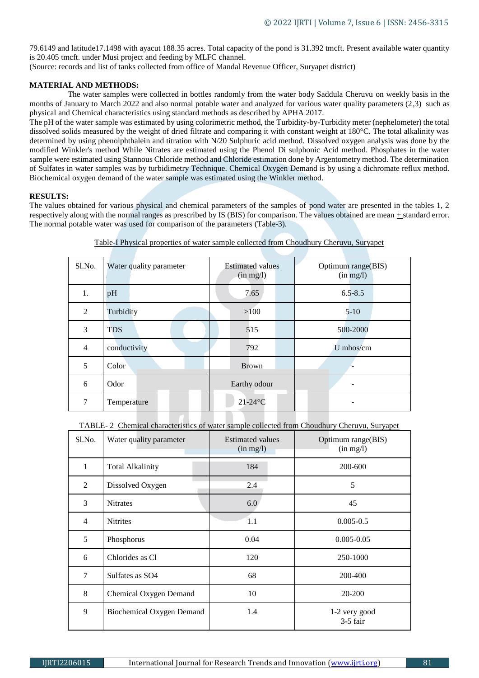79.6149 and latitude17.1498 with ayacut 188.35 acres. Total capacity of the pond is 31.392 tmcft. Present available water quantity is 20.405 tmcft. under Musi project and feeding by MLFC channel.

(Source: records and list of tanks collected from office of Mandal Revenue Officer, Suryapet district)

## **MATERIAL AND METHODS:**

 The water samples were collected in bottles randomly from the water body Saddula Cheruvu on weekly basis in the months of January to March 2022 and also normal potable water and analyzed for various water quality parameters (2,3) such as physical and Chemical characteristics using standard methods as described by APHA 2017.

The pH of the water sample was estimated by using colorimetric method, the Turbidity-by-Turbidity meter (nephelometer) the total dissolved solids measured by the weight of dried filtrate and comparing it with constant weight at 180°C. The total alkalinity was determined by using phenolphthalein and titration with N/20 Sulphuric acid method. Dissolved oxygen analysis was done by the modified Winkler's method While Nitrates are estimated using the Phenol Di sulphonic Acid method. Phosphates in the water sample were estimated using Stannous Chloride method and Chloride estimation done by Argentometry method. The determination of Sulfates in water samples was by turbidimetry Technique. Chemical Oxygen Demand is by using a dichromate reflux method. Biochemical oxygen demand of the water sample was estimated using the Winkler method.

## **RESULTS:**

The values obtained for various physical and chemical parameters of the samples of pond water are presented in the tables 1, 2 respectively along with the normal ranges as prescribed by IS (BIS) for comparison. The values obtained are mean + standard error. The normal potable water was used for comparison of the parameters (Table-3).

| Sl.No.         | Water quality parameter | <b>Estimated values</b><br>(in mg/l) | Optimum range(BIS)<br>(in mg/l) |
|----------------|-------------------------|--------------------------------------|---------------------------------|
| 1.             | pH                      | 7.65                                 | $6.5 - 8.5$                     |
| 2              | Turbidity               | >100                                 | $5 - 10$                        |
| 3              | <b>TDS</b>              | 515                                  | 500-2000                        |
| $\overline{4}$ | conductivity            | 792                                  | U mhos/cm                       |
| 5              | Color                   | <b>Brown</b>                         |                                 |
| 6              | Odor                    | Earthy odour                         |                                 |
| 7              | Temperature             | $21-24$ °C                           |                                 |

Table-I Physical properties of water sample collected from Choudhury Cheruvu, Suryapet

TABLE- 2 Chemical characteristics of water sample collected from Choudhury Cheruvu, Suryapet

| S1.No.         | Water quality parameter   | <b>Estimated values</b><br>(in mg/l) | Optimum range(BIS)<br>(in mg/l) |
|----------------|---------------------------|--------------------------------------|---------------------------------|
| 1              | Total Alkalinity          | 184                                  | 200-600                         |
| 2              | Dissolved Oxygen          | 2.4                                  | 5                               |
| 3              | <b>Nitrates</b>           | 6.0                                  | 45                              |
| $\overline{4}$ | <b>Nitrites</b>           | 1.1                                  | $0.005 - 0.5$                   |
| 5              | Phosphorus                | 0.04                                 | $0.005 - 0.05$                  |
| 6              | Chlorides as Cl           | 120                                  | 250-1000                        |
| 7              | Sulfates as SO4           | 68                                   | 200-400                         |
| 8              | Chemical Oxygen Demand    | 10                                   | 20-200                          |
| 9              | Biochemical Oxygen Demand | 1.4                                  | 1-2 very good<br>3-5 fair       |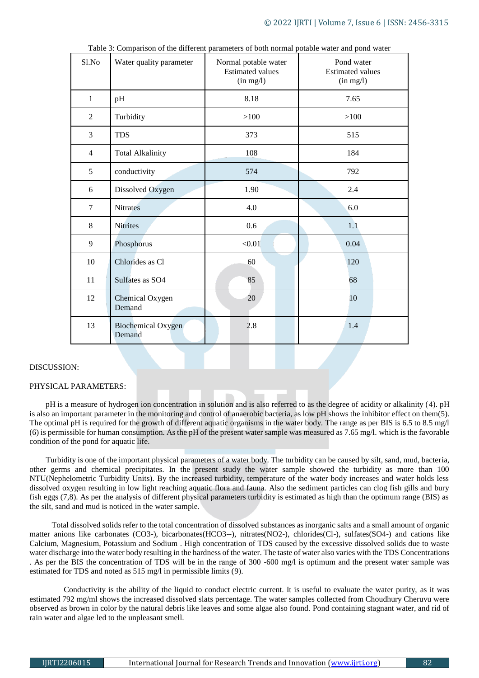| Sl.No          | Water quality parameter             | Normal potable water<br><b>Estimated values</b><br>(in mg/l) | Pond water<br><b>Estimated values</b><br>(in mg/l) |
|----------------|-------------------------------------|--------------------------------------------------------------|----------------------------------------------------|
| $\mathbf{1}$   | pH                                  | 8.18                                                         | 7.65                                               |
| $\overline{2}$ | Turbidity                           | >100                                                         | >100                                               |
| 3              | <b>TDS</b>                          | 373                                                          | 515                                                |
| $\overline{4}$ | <b>Total Alkalinity</b>             | 108                                                          | 184                                                |
| 5              | conductivity                        | 574                                                          | 792                                                |
| 6              | Dissolved Oxygen                    | 1.90                                                         | 2.4                                                |
| $\tau$         | <b>Nitrates</b>                     | 4.0                                                          | 6.0                                                |
| 8              | <b>Nitrites</b>                     | 0.6                                                          | 1.1                                                |
| 9              | Phosphorus                          | < 0.01                                                       | 0.04                                               |
| 10             | Chlorides as Cl                     | 60                                                           | 120                                                |
| 11             | Sulfates as SO4                     | 85                                                           | 68                                                 |
| 12             | Chemical Oxygen<br>Demand           | 20                                                           | 10                                                 |
| 13             | <b>Biochemical Oxygen</b><br>Demand | 2.8                                                          | 1.4                                                |

Table 3: Comparison of the different parameters of both normal potable water and pond water

## DISCUSSION:

#### PHYSICAL PARAMETERS:

 pH is a measure of hydrogen ion concentration in solution and is also referred to as the degree of acidity or alkalinity (4). pH is also an important parameter in the monitoring and control of anaerobic bacteria, as low pH shows the inhibitor effect on them(5). The optimal pH is required for the growth of different aquatic organisms in the water body. The range as per BIS is 6.5 to 8.5 mg/l (6) is permissible for human consumption. As the pH of the present water sample was measured as 7.65 mg/l. which is the favorable condition of the pond for aquatic life.

 Turbidity is one of the important physical parameters of a water body. The turbidity can be caused by silt, sand, mud, bacteria, other germs and chemical precipitates. In the present study the water sample showed the turbidity as more than 100 NTU(Nephelometric Turbidity Units). By the increased turbidity, temperature of the water body increases and water holds less dissolved oxygen resulting in low light reaching aquatic flora and fauna. Also the sediment particles can clog fish gills and bury fish eggs (7,8). As per the analysis of different physical parameters turbidity is estimated as high than the optimum range (BIS) as the silt, sand and mud is noticed in the water sample.

 Total dissolved solids refer to the total concentration of dissolved substances as inorganic salts and a small amount of organic matter anions like carbonates (CO3-), bicarbonates(HCO3--), nitrates(NO2-), chlorides(Cl-), sulfates(SO4-) and cations like Calcium, Magnesium, Potassium and Sodium . High concentration of TDS caused by the excessive dissolved solids due to waste water discharge into the water body resulting in the hardness of the water. The taste of water also varies with the TDS Concentrations . As per the BIS the concentration of TDS will be in the range of 300 -600 mg/l is optimum and the present water sample was estimated for TDS and noted as 515 mg/l in permissible limits (9).

 Conductivity is the ability of the liquid to conduct electric current. It is useful to evaluate the water purity, as it was estimated 792 mg/ml shows the increased dissolved slats percentage. The water samples collected from Choudhury Cheruvu were observed as brown in color by the natural debris like leaves and some algae also found. Pond containing stagnant water, and rid of rain water and algae led to the unpleasant smell.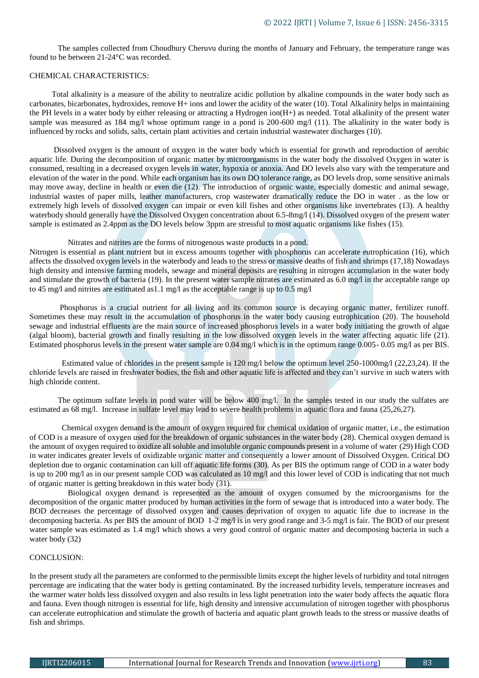The samples collected from Choudhury Cheruvu during the months of January and February, the temperature range was found to be between 21-24°C was recorded.

## CHEMICAL CHARACTERISTICS:

 Total alkalinity is a measure of the ability to neutralize acidic pollution by alkaline compounds in the water body such as carbonates, bicarbonates, hydroxides, remove H+ ions and lower the acidity of the water (10). Total Alkalinity helps in maintaining the PH levels in a water body by either releasing or attracting a Hydrogen ion(H+) as needed. Total alkalinity of the present water sample was measured as 184 mg/l whose optimum range in a pond is 200-600 mg/l (11). The alkalinity in the water body is influenced by rocks and solids, salts, certain plant activities and certain industrial wastewater discharges (10).

 Dissolved oxygen is the amount of oxygen in the water body which is essential for growth and reproduction of aerobic aquatic life. During the decomposition of organic matter by microorganisms in the water body the dissolved Oxygen in water is consumed, resulting in a decreased oxygen levels in water, hypoxia or anoxia. And DO levels also vary with the temperature and elevation of the water in the pond. While each organism has its own DO tolerance range, as DO levels drop, some sensitive animals may move away, decline in health or even die (12). The introduction of organic waste, especially domestic and animal sewage, industrial wastes of paper mills, leather manufacturers, crop wastewater dramatically reduce the DO in water . as the low or extremely high levels of dissolved oxygen can impair or even kill fishes and other organisms like invertebrates (13). A healthy waterbody should generally have the Dissolved Oxygen concentration about 6.5-8mg/l (14). Dissolved oxygen of the present water sample is estimated as 2.4ppm as the DO levels below 3ppm are stressful to most aquatic organisms like fishes (15).

## Nitrates and nitrites are the forms of nitrogenous waste products in a pond.

Nitrogen is essential as plant nutrient but in excess amounts together with phosphorus can accelerate eutrophication (16), which affects the dissolved oxygen levels in the waterbody and leads to the stress or massive deaths of fish and shrimps (17,18) Nowadays high density and intensive farming models, sewage and mineral deposits are resulting in nitrogen accumulation in the water body and stimulate the growth of bacteria (19). In the present water sample nitrates are estimated as 6.0 mg/l in the acceptable range up to 45 mg/l and nitrites are estimated as 1.1 mg/l as the acceptable range is up to 0.5 mg/l

 Phosphorus is a crucial nutrient for all living and its common source is decaying organic matter, fertilizer runoff. Sometimes these may result in the accumulation of phosphorus in the water body causing eutrophication (20). The household sewage and industrial effluents are the main source of increased phosphorus levels in a water body initiating the growth of algae (algal bloom), bacterial growth and finally resulting in the low dissolved oxygen levels in the water affecting aquatic life (21). Estimated phosphorus levels in the present water sample are 0.04 mg/l which is in the optimum range 0.005- 0.05 mg/l as per BIS.

 Estimated value of chlorides in the present sample is 120 mg/l below the optimum level 250-1000mg/l (22,23,24). If the chloride levels are raised in freshwater bodies, the fish and other aquatic life is affected and they can't survive in such waters with high chloride content.

 The optimum sulfate levels in pond water will be below 400 mg/l. In the samples tested in our study the sulfates are estimated as 68 mg/l. Increase in sulfate level may lead to severe health problems in aquatic flora and fauna (25,26,27).

 Chemical oxygen demand is the amount of oxygen required for chemical oxidation of organic matter, i.e., the estimation of COD is a measure of oxygen used for the breakdown of organic substances in the water body (28). Chemical oxygen demand is the amount of oxygen required to oxidize all soluble and insoluble organic compounds present in a volume of water (29) High COD in water indicates greater levels of oxidizable organic matter and consequently a lower amount of Dissolved Oxygen. Critical DO depletion due to organic contamination can kill off aquatic life forms (30). As per BIS the optimum range of COD in a water body is up to 200 mg/l as in our present sample COD was calculated as 10 mg/l and this lower level of COD is indicating that not much of organic matter is getting breakdown in this water body (31).

 Biological oxygen demand is represented as the amount of oxygen consumed by the microorganisms for the decomposition of the organic matter produced by human activities in the form of sewage that is introduced into a water body. The BOD decreases the percentage of dissolved oxygen and causes deprivation of oxygen to aquatic life due to increase in the decomposing bacteria. As per BIS the amount of BOD 1-2 mg/l is in very good range and 3-5 mg/l is fair. The BOD of our present water sample was estimated as 1.4 mg/l which shows a very good control of organic matter and decomposing bacteria in such a water body (32)

#### CONCLUSION:

In the present study all the parameters are conformed to the permissible limits except the higher levels of turbidity and total nitrogen percentage are indicating that the water body is getting contaminated. By the increased turbidity levels, temperature increases and the warmer water holds less dissolved oxygen and also results in less light penetration into the water body affects the aquatic flora and fauna. Even though nitrogen is essential for life, high density and intensive accumulation of nitrogen together with phosphorus can accelerate eutrophication and stimulate the growth of bacteria and aquatic plant growth leads to the stress or massive deaths of fish and shrimps.